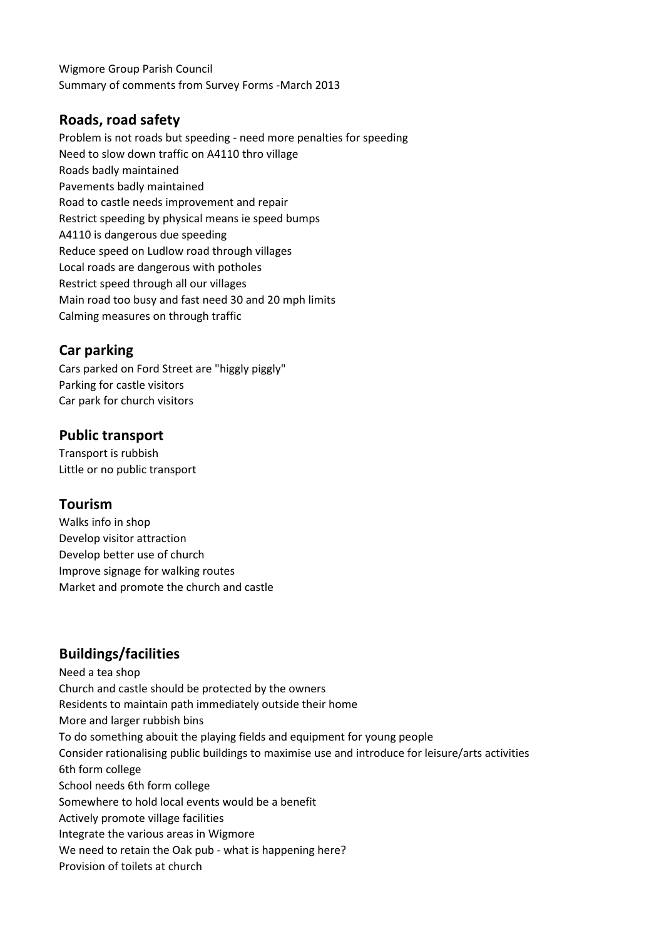Wigmore Group Parish Council Summary of comments from Survey Forms -March 2013

## **Roads, road safety**

Problem is not roads but speeding - need more penalties for speeding Need to slow down traffic on A4110 thro village Roads badly maintained Pavements badly maintained Road to castle needs improvement and repair Restrict speeding by physical means ie speed bumps A4110 is dangerous due speeding Reduce speed on Ludlow road through villages Local roads are dangerous with potholes Restrict speed through all our villages Main road too busy and fast need 30 and 20 mph limits Calming measures on through traffic

### **Car parking**

Cars parked on Ford Street are "higgly piggly" Parking for castle visitors Car park for church visitors

#### **Public transport**

Transport is rubbish Little or no public transport

### **Tourism**

Walks info in shop Develop visitor attraction Develop better use of church Improve signage for walking routes Market and promote the church and castle

### **Buildings/facilities**

Need a tea shop Church and castle should be protected by the owners Residents to maintain path immediately outside their home More and larger rubbish bins To do something abouit the playing fields and equipment for young people Consider rationalising public buildings to maximise use and introduce for leisure/arts activities 6th form college School needs 6th form college Somewhere to hold local events would be a benefit Actively promote village facilities Integrate the various areas in Wigmore We need to retain the Oak pub - what is happening here? Provision of toilets at church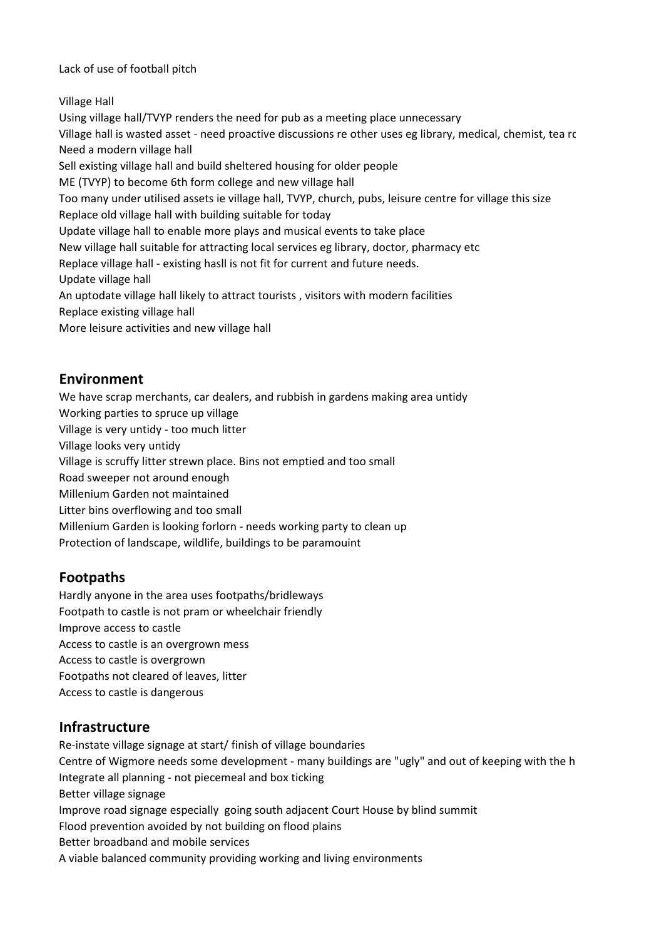Lack of use of football pitch

Village Hall

Using village hall/TVYP renders the need for pub as a meeting place unnecessary Village hall is wasted asset - need proactive discussions re other uses eg library, medical, chemist, tea ro Need a modern village hall Sell existing village hall and build sheltered housing for older people ME (TVYP) to become 6th form college and new village hall Too many under utilised assets ie village hall, TVYP, church, pubs, leisure centre for village this size Replace old village hall with building suitable for today Update village hall to enable more plays and musical events to take place New village hall suitable for attracting local services eg library, doctor, pharmacy etc Replace village hall - existing hasll is not fit for current and future needs. Update village hall An uptodate village hall likely to attract tourists , visitors with modern facilities Replace existing village hall More leisure activities and new village hall

## **Environment**

We have scrap merchants, car dealers, and rubbish in gardens making area untidy Working parties to spruce up village Village is very untidy - too much litter Village looks very untidy Village is scruffy litter strewn place. Bins not emptied and too small Road sweeper not around enough Millenium Garden not maintained Litter bins overflowing and too small Millenium Garden is looking forlorn - needs working party to clean up Protection of landscape, wildlife, buildings to be paramouint

# **Footpaths**

Hardly anyone in the area uses footpaths/bridleways Footpath to castle is not pram or wheelchair friendly Improve access to castle Access to castle is an overgrown mess Access to castle is overgrown Footpaths not cleared of leaves, litter Access to castle is dangerous

# **Infrastructure**

Re-instate village signage at start/ finish of village boundaries Centre of Wigmore needs some development - many buildings are "ugly" and out of keeping with the h Integrate all planning - not piecemeal and box ticking Better village signage Improve road signage especially going south adjacent Court House by blind summit Flood prevention avoided by not building on flood plains Better broadband and mobile services A viable balanced community providing working and living environments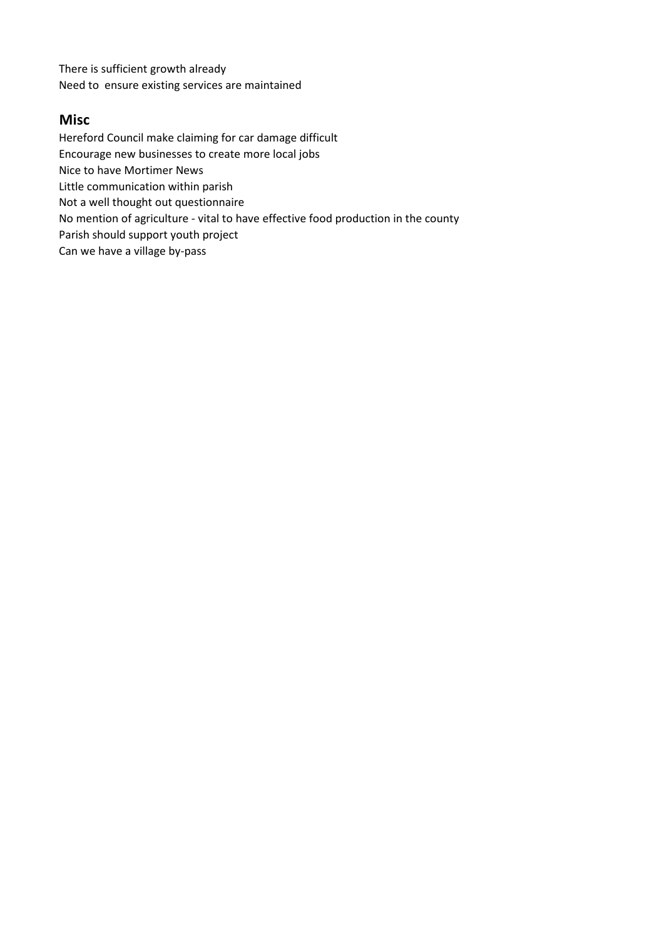There is sufficient growth already Need to ensure existing services are maintained

#### **Misc**

Hereford Council make claiming for car damage difficult

Encourage new businesses to create more local jobs

Nice to have Mortimer News

Little communication within parish

Not a well thought out questionnaire

No mention of agriculture - vital to have effective food production in the county

Parish should support youth project

Can we have a village by-pass